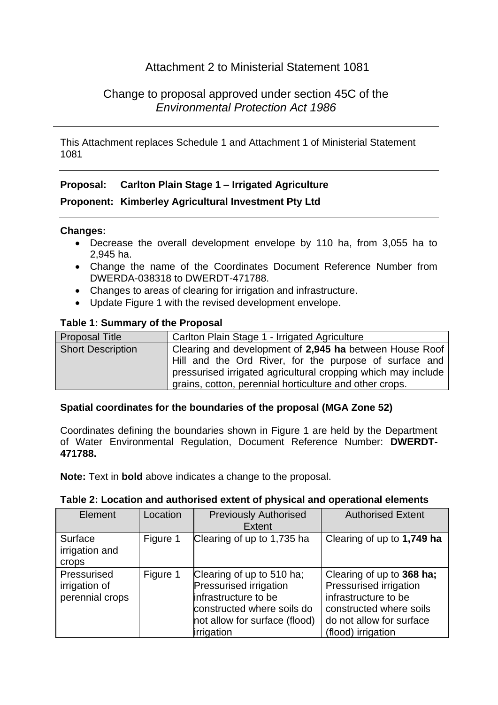# Attachment 2 to Ministerial Statement 1081

# Change to proposal approved under section 45C of the *Environmental Protection Act 1986*

This Attachment replaces Schedule 1 and Attachment 1 of Ministerial Statement 1081

## **Proposal: Carlton Plain Stage 1 – Irrigated Agriculture**

### **Proponent: Kimberley Agricultural Investment Pty Ltd**

### **Changes:**

- Decrease the overall development envelope by 110 ha, from 3,055 ha to 2,945 ha.
- Change the name of the Coordinates Document Reference Number from DWERDA-038318 to DWERDT-471788.
- Changes to areas of clearing for irrigation and infrastructure.
- Update Figure 1 with the revised development envelope.

### **Table 1: Summary of the Proposal**

| <b>Proposal Title</b>    | Carlton Plain Stage 1 - Irrigated Agriculture                                                                                                                                                                                                 |
|--------------------------|-----------------------------------------------------------------------------------------------------------------------------------------------------------------------------------------------------------------------------------------------|
| <b>Short Description</b> | Clearing and development of 2,945 ha between House Roof<br>Hill and the Ord River, for the purpose of surface and<br>pressurised irrigated agricultural cropping which may include<br>grains, cotton, perennial horticulture and other crops. |

#### **Spatial coordinates for the boundaries of the proposal (MGA Zone 52)**

Coordinates defining the boundaries shown in Figure 1 are held by the Department of Water Environmental Regulation, Document Reference Number: **DWERDT-471788.**

**Note:** Text in **bold** above indicates a change to the proposal.

| Element                                         | Location | <b>Previously Authorised</b><br><b>Extent</b>                                                                                                                   | <b>Authorised Extent</b>                                                                                                                                 |
|-------------------------------------------------|----------|-----------------------------------------------------------------------------------------------------------------------------------------------------------------|----------------------------------------------------------------------------------------------------------------------------------------------------------|
| Surface<br>irrigation and<br>crops              | Figure 1 | Clearing of up to 1,735 ha                                                                                                                                      | Clearing of up to 1,749 ha                                                                                                                               |
| Pressurised<br>irrigation of<br>perennial crops | Figure 1 | Clearing of up to 510 ha;<br><b>Pressurised irrigation</b><br>infrastructure to be<br>constructed where soils do<br>not allow for surface (flood)<br>irrigation | Clearing of up to 368 ha;<br>Pressurised irrigation<br>infrastructure to be<br>constructed where soils<br>do not allow for surface<br>(flood) irrigation |

#### **Table 2: Location and authorised extent of physical and operational elements**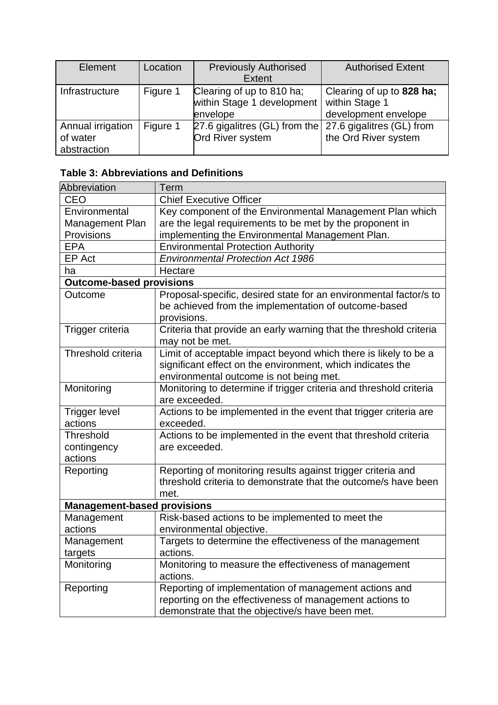| Element                                      | Location | <b>Previously Authorised</b><br><b>Extent</b>                               | <b>Authorised Extent</b>                                            |
|----------------------------------------------|----------|-----------------------------------------------------------------------------|---------------------------------------------------------------------|
| Infrastructure                               | Figure 1 | Clearing of up to 810 ha;<br>within Stage 1 development<br>envelope         | Clearing of up to 828 ha;<br>within Stage 1<br>development envelope |
| Annual irrigation<br>of water<br>abstraction | Figure 1 | 27.6 gigalitres (GL) from the 27.6 gigalitres (GL) from<br>Ord River system | the Ord River system                                                |

# **Table 3: Abbreviations and Definitions**

| <b>Abbreviation</b>                 | Term                                                                                                                                                                     |  |  |  |
|-------------------------------------|--------------------------------------------------------------------------------------------------------------------------------------------------------------------------|--|--|--|
| <b>CEO</b>                          | <b>Chief Executive Officer</b>                                                                                                                                           |  |  |  |
| Environmental                       | Key component of the Environmental Management Plan which                                                                                                                 |  |  |  |
| Management Plan                     | are the legal requirements to be met by the proponent in                                                                                                                 |  |  |  |
| Provisions                          | implementing the Environmental Management Plan.                                                                                                                          |  |  |  |
| <b>EPA</b>                          | <b>Environmental Protection Authority</b>                                                                                                                                |  |  |  |
| EP Act                              | <b>Environmental Protection Act 1986</b>                                                                                                                                 |  |  |  |
| ha                                  | Hectare                                                                                                                                                                  |  |  |  |
| <b>Outcome-based provisions</b>     |                                                                                                                                                                          |  |  |  |
| Outcome                             | Proposal-specific, desired state for an environmental factor/s to<br>be achieved from the implementation of outcome-based<br>provisions.                                 |  |  |  |
| Trigger criteria                    | Criteria that provide an early warning that the threshold criteria<br>may not be met.                                                                                    |  |  |  |
| Threshold criteria                  | Limit of acceptable impact beyond which there is likely to be a<br>significant effect on the environment, which indicates the<br>environmental outcome is not being met. |  |  |  |
| Monitoring                          | Monitoring to determine if trigger criteria and threshold criteria<br>are exceeded.                                                                                      |  |  |  |
| <b>Trigger level</b><br>actions     | Actions to be implemented in the event that trigger criteria are<br>exceeded.                                                                                            |  |  |  |
| Threshold<br>contingency<br>actions | Actions to be implemented in the event that threshold criteria<br>are exceeded.                                                                                          |  |  |  |
| Reporting                           | Reporting of monitoring results against trigger criteria and<br>threshold criteria to demonstrate that the outcome/s have been<br>met.                                   |  |  |  |
| <b>Management-based provisions</b>  |                                                                                                                                                                          |  |  |  |
| Management                          | Risk-based actions to be implemented to meet the                                                                                                                         |  |  |  |
| actions                             | environmental objective.                                                                                                                                                 |  |  |  |
| Management                          | Targets to determine the effectiveness of the management                                                                                                                 |  |  |  |
| targets                             | actions.                                                                                                                                                                 |  |  |  |
| Monitoring                          | Monitoring to measure the effectiveness of management<br>actions.                                                                                                        |  |  |  |
| Reporting                           | Reporting of implementation of management actions and                                                                                                                    |  |  |  |
|                                     | reporting on the effectiveness of management actions to                                                                                                                  |  |  |  |
|                                     | demonstrate that the objective/s have been met.                                                                                                                          |  |  |  |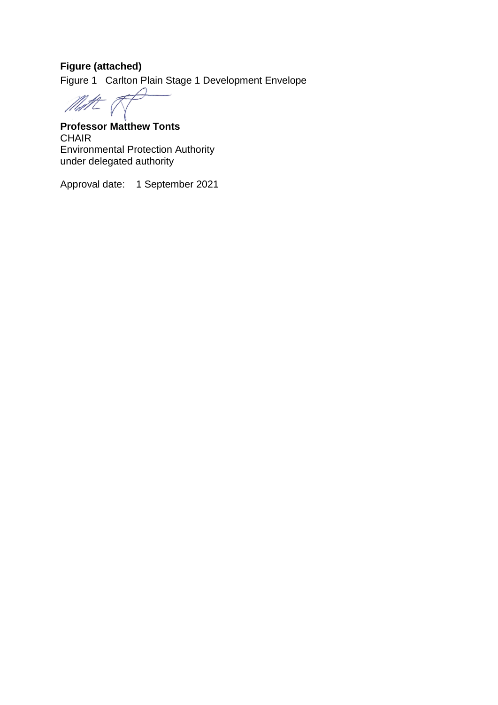# **Figure (attached)**

Figure 1 Carlton Plain Stage 1 Development Envelope

We

**Professor Matthew Tonts** CHAIR Environmental Protection Authority under delegated authority

Approval date: 1 September 2021